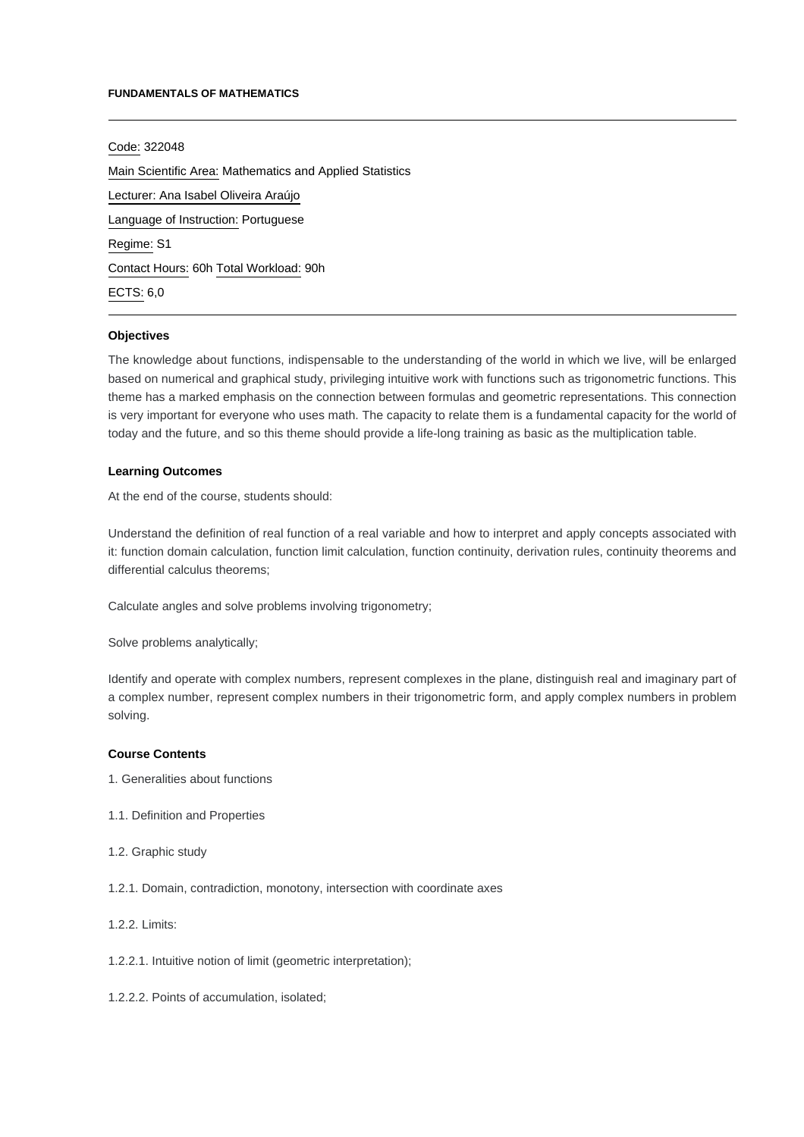#### **FUNDAMENTALS OF MATHEMATICS**

Code: 322048 Main Scientific Area: Mathematics and Applied Statistics Lecturer: [Ana Isabel Oliveira Araújo](mailto:aiaraujo@ipca.pt) Language of Instruction: Portuguese Regime: S1 Contact Hours: 60h Total Workload: 90h ECTS: 6,0

### **Objectives**

The knowledge about functions, indispensable to the understanding of the world in which we live, will be enlarged based on numerical and graphical study, privileging intuitive work with functions such as trigonometric functions. This theme has a marked emphasis on the connection between formulas and geometric representations. This connection is very important for everyone who uses math. The capacity to relate them is a fundamental capacity for the world of today and the future, and so this theme should provide a life-long training as basic as the multiplication table.

## **Learning Outcomes**

At the end of the course, students should:

Understand the definition of real function of a real variable and how to interpret and apply concepts associated with it: function domain calculation, function limit calculation, function continuity, derivation rules, continuity theorems and differential calculus theorems;

Calculate angles and solve problems involving trigonometry;

Solve problems analytically;

Identify and operate with complex numbers, represent complexes in the plane, distinguish real and imaginary part of a complex number, represent complex numbers in their trigonometric form, and apply complex numbers in problem solving.

#### **Course Contents**

- 1. Generalities about functions
- 1.1. Definition and Properties
- 1.2. Graphic study
- 1.2.1. Domain, contradiction, monotony, intersection with coordinate axes
- 1.2.2. Limits:
- 1.2.2.1. Intuitive notion of limit (geometric interpretation);
- 1.2.2.2. Points of accumulation, isolated;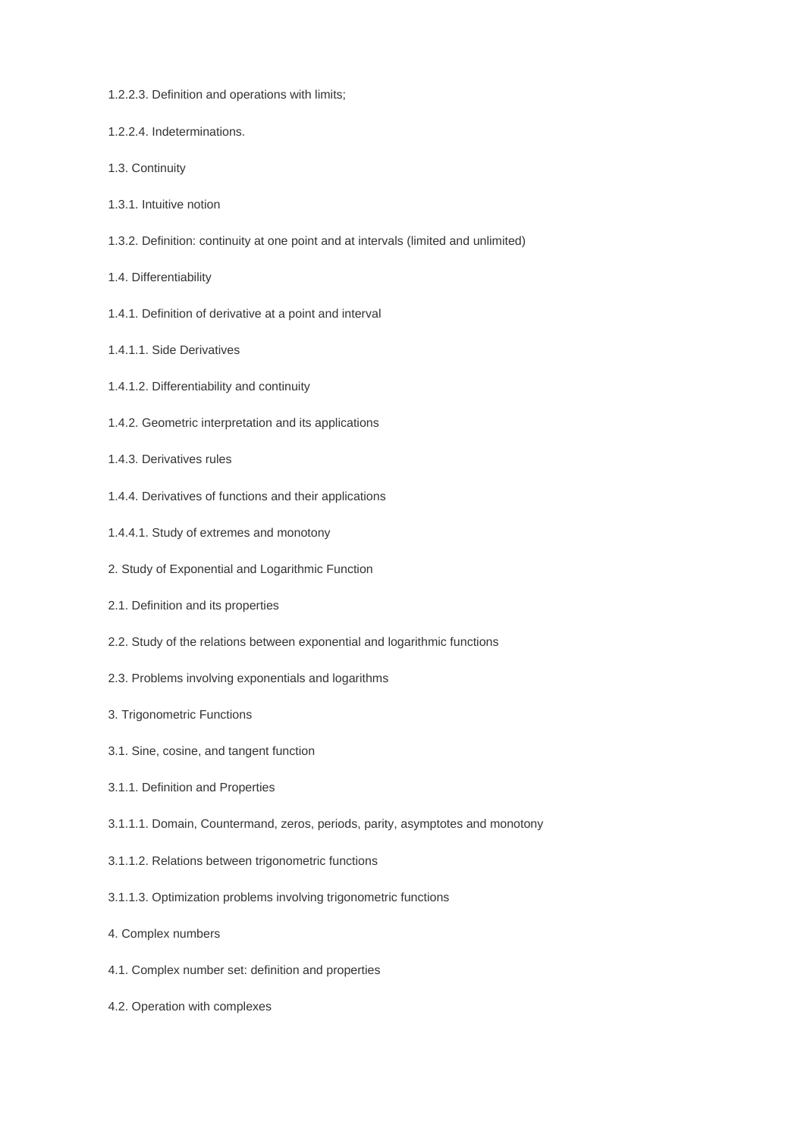- 1.2.2.3. Definition and operations with limits;
- 1.2.2.4. Indeterminations.
- 1.3. Continuity
- 1.3.1. Intuitive notion
- 1.3.2. Definition: continuity at one point and at intervals (limited and unlimited)
- 1.4. Differentiability
- 1.4.1. Definition of derivative at a point and interval
- 1.4.1.1. Side Derivatives
- 1.4.1.2. Differentiability and continuity
- 1.4.2. Geometric interpretation and its applications
- 1.4.3. Derivatives rules
- 1.4.4. Derivatives of functions and their applications
- 1.4.4.1. Study of extremes and monotony
- 2. Study of Exponential and Logarithmic Function
- 2.1. Definition and its properties
- 2.2. Study of the relations between exponential and logarithmic functions
- 2.3. Problems involving exponentials and logarithms
- 3. Trigonometric Functions
- 3.1. Sine, cosine, and tangent function
- 3.1.1. Definition and Properties
- 3.1.1.1. Domain, Countermand, zeros, periods, parity, asymptotes and monotony
- 3.1.1.2. Relations between trigonometric functions
- 3.1.1.3. Optimization problems involving trigonometric functions
- 4. Complex numbers
- 4.1. Complex number set: definition and properties
- 4.2. Operation with complexes